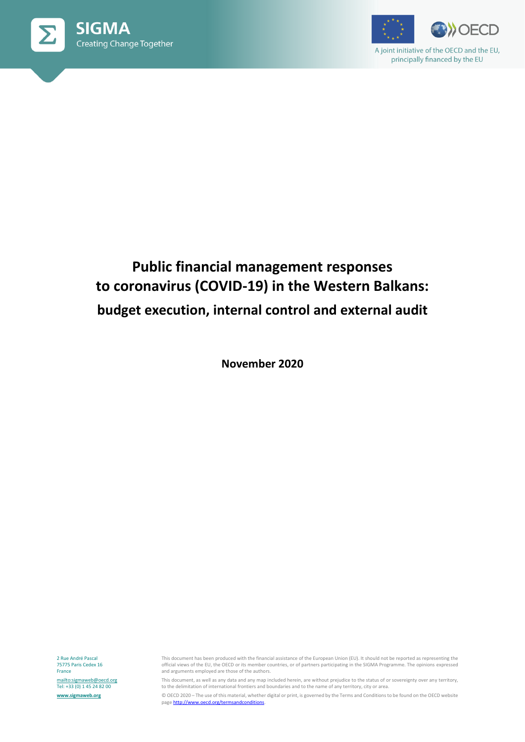



A joint initiative of the OECD and the EU, principally financed by the EU

# **Public financial management responses to coronavirus (COVID-19) in the Western Balkans: budget execution, internal control and external audit**

**November 2020**

2 Rue André Pascal 75775 Paris Cedex 16 France <mailto:sigmaweb@oecd.org> Tel: +33 (0) 1 45 24 82 00 **[www.sigmaweb.org](http://www.sigmaweb.org/)**

This document has been produced with the financial assistance of the European Union (EU). It should not be reported as representing the official views of the EU, the OECD or its member countries, or of partners participating in the SIGMA Programme. The opinions expressed and arguments employed are those of the authors.

This document, as well as any data and any map included herein, are without prejudice to the status of or sovereignty over any territory, to the delimitation of international frontiers and boundaries and to the name of any territory, city or area.

© OECD 2020 – The use of this material, whether digital or print, is governed by the Terms and Conditions to be found on the OECD website page http://www.oecd.org/termsandconditions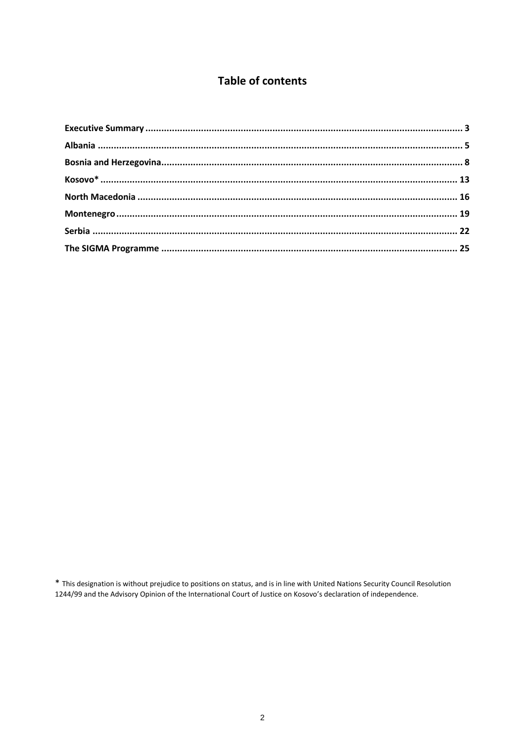# **Table of contents**

\* This designation is without prejudice to positions on status, and is in line with United Nations Security Council Resolution<br>1244/99 and the Advisory Opinion of the International Court of Justice on Kosovo's declaration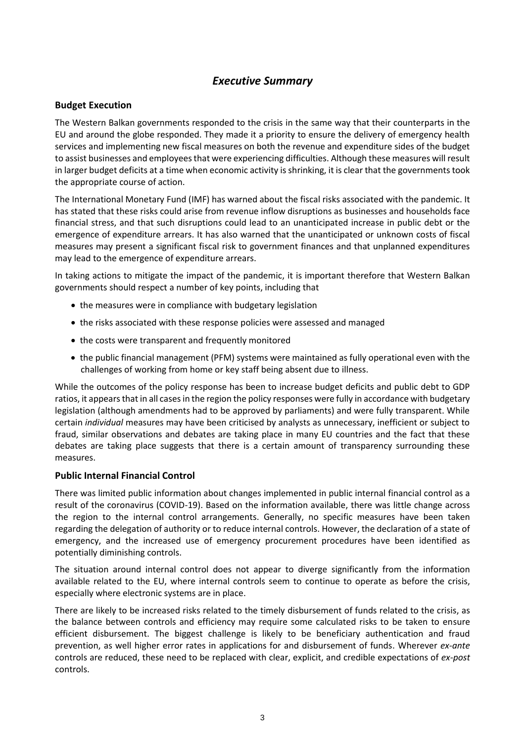# *Executive Summary*

# <span id="page-2-0"></span>**Budget Execution**

The Western Balkan governments responded to the crisis in the same way that their counterparts in the EU and around the globe responded. They made it a priority to ensure the delivery of emergency health services and implementing new fiscal measures on both the revenue and expenditure sides of the budget to assist businesses and employees that were experiencing difficulties. Although these measures will result in larger budget deficits at a time when economic activity is shrinking, it is clear that the governments took the appropriate course of action.

The International Monetary Fund (IMF) has warned about the fiscal risks associated with the pandemic. It has stated that these risks could arise from revenue inflow disruptions as businesses and households face financial stress, and that such disruptions could lead to an unanticipated increase in public debt or the emergence of expenditure arrears. It has also warned that the unanticipated or unknown costs of fiscal measures may present a significant fiscal risk to government finances and that unplanned expenditures may lead to the emergence of expenditure arrears.

In taking actions to mitigate the impact of the pandemic, it is important therefore that Western Balkan governments should respect a number of key points, including that

- the measures were in compliance with budgetary legislation
- the risks associated with these response policies were assessed and managed
- the costs were transparent and frequently monitored
- the public financial management (PFM) systems were maintained as fully operational even with the challenges of working from home or key staff being absent due to illness.

While the outcomes of the policy response has been to increase budget deficits and public debt to GDP ratios, it appears that in all cases in the region the policy responses were fully in accordance with budgetary legislation (although amendments had to be approved by parliaments) and were fully transparent. While certain *individual* measures may have been criticised by analysts as unnecessary, inefficient or subject to fraud, similar observations and debates are taking place in many EU countries and the fact that these debates are taking place suggests that there is a certain amount of transparency surrounding these measures.

#### **Public Internal Financial Control**

There was limited public information about changes implemented in public internal financial control as a result of the coronavirus (COVID-19). Based on the information available, there was little change across the region to the internal control arrangements. Generally, no specific measures have been taken regarding the delegation of authority or to reduce internal controls. However, the declaration of a state of emergency, and the increased use of emergency procurement procedures have been identified as potentially diminishing controls.

The situation around internal control does not appear to diverge significantly from the information available related to the EU, where internal controls seem to continue to operate as before the crisis, especially where electronic systems are in place.

There are likely to be increased risks related to the timely disbursement of funds related to the crisis, as the balance between controls and efficiency may require some calculated risks to be taken to ensure efficient disbursement. The biggest challenge is likely to be beneficiary authentication and fraud prevention, as well higher error rates in applications for and disbursement of funds. Wherever *ex-ante* controls are reduced, these need to be replaced with clear, explicit, and credible expectations of *ex-post* controls.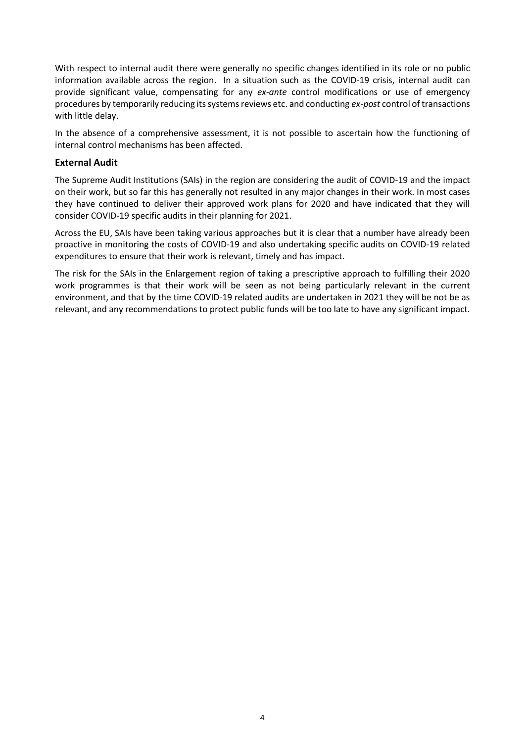With respect to internal audit there were generally no specific changes identified in its role or no public information available across the region. In a situation such as the COVID-19 crisis, internal audit can provide significant value, compensating for any *ex-ante* control modifications or use of emergency procedures by temporarily reducing its systems reviews etc. and conducting *ex-post* control of transactions with little delay.

In the absence of a comprehensive assessment, it is not possible to ascertain how the functioning of internal control mechanisms has been affected.

# **External Audit**

The Supreme Audit Institutions (SAIs) in the region are considering the audit of COVID-19 and the impact on their work, but so far this has generally not resulted in any major changes in their work. In most cases they have continued to deliver their approved work plans for 2020 and have indicated that they will consider COVID-19 specific audits in their planning for 2021.

Across the EU, SAIs have been taking various approaches but it is clear that a number have already been proactive in monitoring the costs of COVID-19 and also undertaking specific audits on COVID-19 related expenditures to ensure that their work is relevant, timely and has impact.

The risk for the SAIs in the Enlargement region of taking a prescriptive approach to fulfilling their 2020 work programmes is that their work will be seen as not being particularly relevant in the current environment, and that by the time COVID-19 related audits are undertaken in 2021 they will be not be as relevant, and any recommendations to protect public funds will be too late to have any significant impact.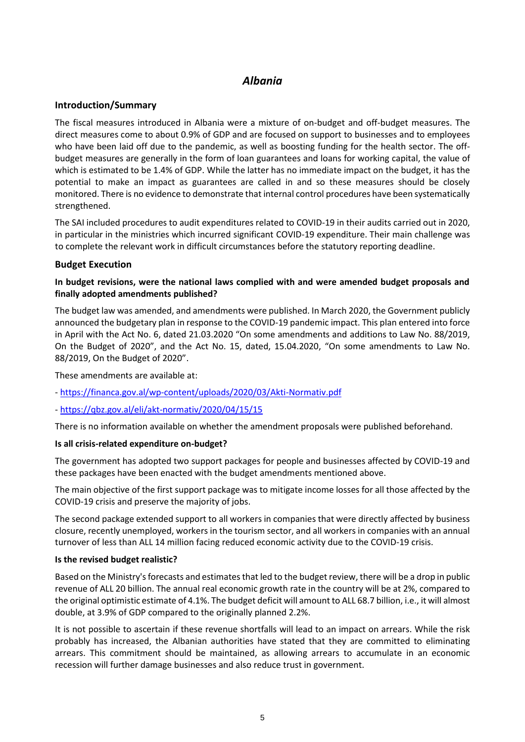# *Albania*

# <span id="page-4-0"></span>**Introduction/Summary**

The fiscal measures introduced in Albania were a mixture of on-budget and off-budget measures. The direct measures come to about 0.9% of GDP and are focused on support to businesses and to employees who have been laid off due to the pandemic, as well as boosting funding for the health sector. The offbudget measures are generally in the form of loan guarantees and loans for working capital, the value of which is estimated to be 1.4% of GDP. While the latter has no immediate impact on the budget, it has the potential to make an impact as guarantees are called in and so these measures should be closely monitored. There is no evidence to demonstrate that internal control procedures have been systematically strengthened.

The SAI included procedures to audit expenditures related to COVID-19 in their audits carried out in 2020, in particular in the ministries which incurred significant COVID-19 expenditure. Their main challenge was to complete the relevant work in difficult circumstances before the statutory reporting deadline.

# **Budget Execution**

# **In budget revisions, were the national laws complied with and were amended budget proposals and finally adopted amendments published?**

The budget law was amended, and amendments were published. In March 2020, the Government publicly announced the budgetary plan in response to the COVID-19 pandemic impact. This plan entered into force in April with the Act No. 6, dated 21.03.2020 "On some amendments and additions to Law No. 88/2019, On the Budget of 2020", and the Act No. 15, dated, 15.04.2020, "On some amendments to Law No. 88/2019, On the Budget of 2020".

These amendments are available at:

- <https://financa.gov.al/wp-content/uploads/2020/03/Akti-Normativ.pdf>

- <https://qbz.gov.al/eli/akt-normativ/2020/04/15/15>

There is no information available on whether the amendment proposals were published beforehand.

#### **Is all crisis-related expenditure on-budget?**

The government has adopted two support packages for people and businesses affected by COVID-19 and these packages have been enacted with the budget amendments mentioned above.

The main objective of the first support package was to mitigate income losses for all those affected by the COVID-19 crisis and preserve the majority of jobs.

The second package extended support to all workers in companies that were directly affected by business closure, recently unemployed, workers in the tourism sector, and all workers in companies with an annual turnover of less than ALL 14 million facing reduced economic activity due to the COVID-19 crisis.

#### **Is the revised budget realistic?**

Based on the Ministry's forecasts and estimates that led to the budget review, there will be a drop in public revenue of ALL 20 billion. The annual real economic growth rate in the country will be at 2%, compared to the original optimistic estimate of 4.1%. The budget deficit will amount to ALL 68.7 billion, i.e., it will almost double, at 3.9% of GDP compared to the originally planned 2.2%.

It is not possible to ascertain if these revenue shortfalls will lead to an impact on arrears. While the risk probably has increased, the Albanian authorities have stated that they are committed to eliminating arrears. This commitment should be maintained, as allowing arrears to accumulate in an economic recession will further damage businesses and also reduce trust in government.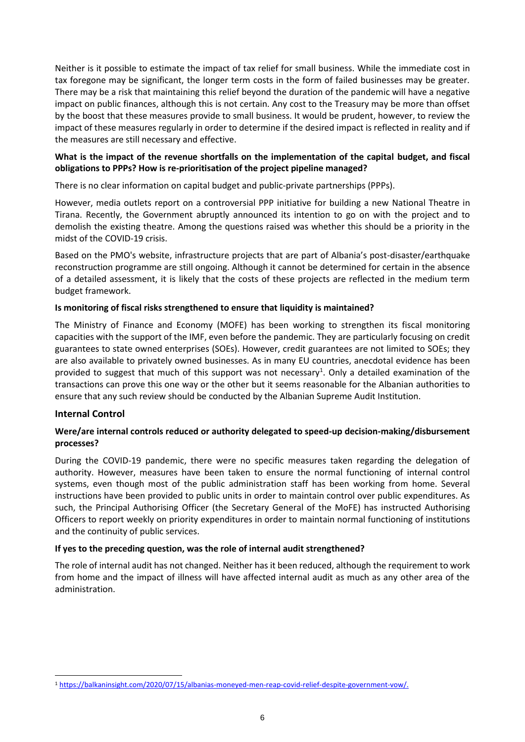Neither is it possible to estimate the impact of tax relief for small business. While the immediate cost in tax foregone may be significant, the longer term costs in the form of failed businesses may be greater. There may be a risk that maintaining this relief beyond the duration of the pandemic will have a negative impact on public finances, although this is not certain. Any cost to the Treasury may be more than offset by the boost that these measures provide to small business. It would be prudent, however, to review the impact of these measures regularly in order to determine if the desired impact is reflected in reality and if the measures are still necessary and effective.

# **What is the impact of the revenue shortfalls on the implementation of the capital budget, and fiscal obligations to PPPs? How is re-prioritisation of the project pipeline managed?**

There is no clear information on capital budget and public-private partnerships (PPPs).

However, media outlets report on a controversial PPP initiative for building a new National Theatre in Tirana. Recently, the Government abruptly announced its intention to go on with the project and to demolish the existing theatre. Among the questions raised was whether this should be a priority in the midst of the COVID-19 crisis.

Based on the PMO's website, infrastructure projects that are part of Albania's post-disaster/earthquake reconstruction programme are still ongoing. Although it cannot be determined for certain in the absence of a detailed assessment, it is likely that the costs of these projects are reflected in the medium term budget framework.

# **Is monitoring of fiscal risks strengthened to ensure that liquidity is maintained?**

The Ministry of Finance and Economy (MOFE) has been working to strengthen its fiscal monitoring capacities with the support of the IMF, even before the pandemic. They are particularly focusing on credit guarantees to state owned enterprises (SOEs). However, credit guarantees are not limited to SOEs; they are also available to privately owned businesses. As in many EU countries, anecdotal evidence has been provided to suggest that much of this support was not necessary<sup>1</sup>. Only a detailed examination of the transactions can prove this one way or the other but it seems reasonable for the Albanian authorities to ensure that any such review should be conducted by the Albanian Supreme Audit Institution.

#### **Internal Control**

# **Were/are internal controls reduced or authority delegated to speed-up decision-making/disbursement processes?**

During the COVID-19 pandemic, there were no specific measures taken regarding the delegation of authority. However, measures have been taken to ensure the normal functioning of internal control systems, even though most of the public administration staff has been working from home. Several instructions have been provided to public units in order to maintain control over public expenditures. As such, the Principal Authorising Officer (the Secretary General of the MoFE) has instructed Authorising Officers to report weekly on priority expenditures in order to maintain normal functioning of institutions and the continuity of public services.

#### **If yes to the preceding question, was the role of internal audit strengthened?**

The role of internal audit has not changed. Neither has it been reduced, although the requirement to work from home and the impact of illness will have affected internal audit as much as any other area of the administration.

<sup>1</sup> [https://balkaninsight.com/2020/07/15/albanias-moneyed-men-reap-covid-relief-despite-government-vow/.](https://balkaninsight.com/2020/07/15/albanias-moneyed-men-reap-covid-relief-despite-government-vow/)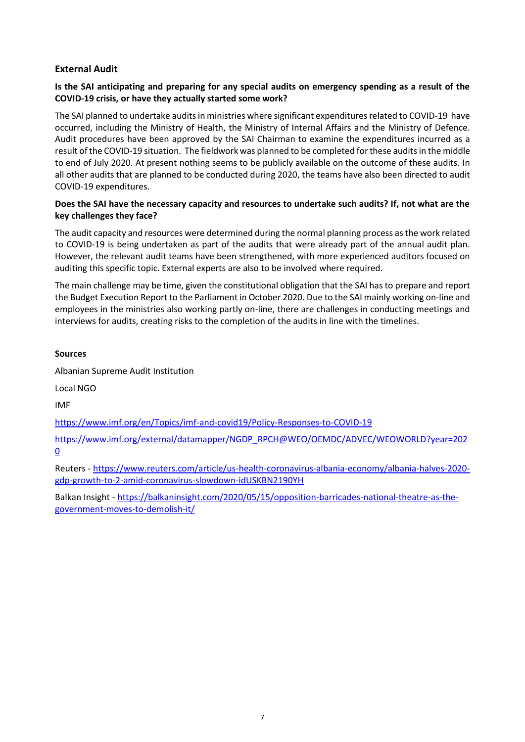# **External Audit**

# **Is the SAI anticipating and preparing for any special audits on emergency spending as a result of the COVID-19 crisis, or have they actually started some work?**

The SAI planned to undertake auditsin ministries where significant expenditures related to COVID-19 have occurred, including the Ministry of Health, the Ministry of Internal Affairs and the Ministry of Defence. Audit procedures have been approved by the SAI Chairman to examine the expenditures incurred as a result of the COVID-19 situation. The fieldwork was planned to be completed for these audits in the middle to end of July 2020. At present nothing seems to be publicly available on the outcome of these audits. In all other audits that are planned to be conducted during 2020, the teams have also been directed to audit COVID-19 expenditures.

# **Does the SAI have the necessary capacity and resources to undertake such audits? If, not what are the key challenges they face?**

The audit capacity and resources were determined during the normal planning process asthe work related to COVID-19 is being undertaken as part of the audits that were already part of the annual audit plan. However, the relevant audit teams have been strengthened, with more experienced auditors focused on auditing this specific topic. External experts are also to be involved where required.

The main challenge may be time, given the constitutional obligation that the SAI has to prepare and report the Budget Execution Report to the Parliament in October 2020. Due to the SAI mainly working on-line and employees in the ministries also working partly on-line, there are challenges in conducting meetings and interviews for audits, creating risks to the completion of the audits in line with the timelines.

# **Sources**

Albanian Supreme Audit Institution

Local NGO

IMF

<https://www.imf.org/en/Topics/imf-and-covid19/Policy-Responses-to-COVID-19>

[https://www.imf.org/external/datamapper/NGDP\\_RPCH@WEO/OEMDC/ADVEC/WEOWORLD?year=202](https://www.imf.org/external/datamapper/NGDP_RPCH@WEO/OEMDC/ADVEC/WEOWORLD?year=2020) [0](https://www.imf.org/external/datamapper/NGDP_RPCH@WEO/OEMDC/ADVEC/WEOWORLD?year=2020)

Reuters - [https://www.reuters.com/article/us-health-coronavirus-albania-economy/albania-halves-2020](https://www.reuters.com/article/us-health-coronavirus-albania-economy/albania-halves-2020-gdp-growth-to-2-amid-coronavirus-slowdown-idUSKBN2190YH) [gdp-growth-to-2-amid-coronavirus-slowdown-idUSKBN2190YH](https://www.reuters.com/article/us-health-coronavirus-albania-economy/albania-halves-2020-gdp-growth-to-2-amid-coronavirus-slowdown-idUSKBN2190YH)

Balkan Insight - [https://balkaninsight.com/2020/05/15/opposition-barricades-national-theatre-as-the](https://balkaninsight.com/2020/05/15/opposition-barricades-national-theatre-as-the-government-moves-to-demolish-it/)[government-moves-to-demolish-it/](https://balkaninsight.com/2020/05/15/opposition-barricades-national-theatre-as-the-government-moves-to-demolish-it/)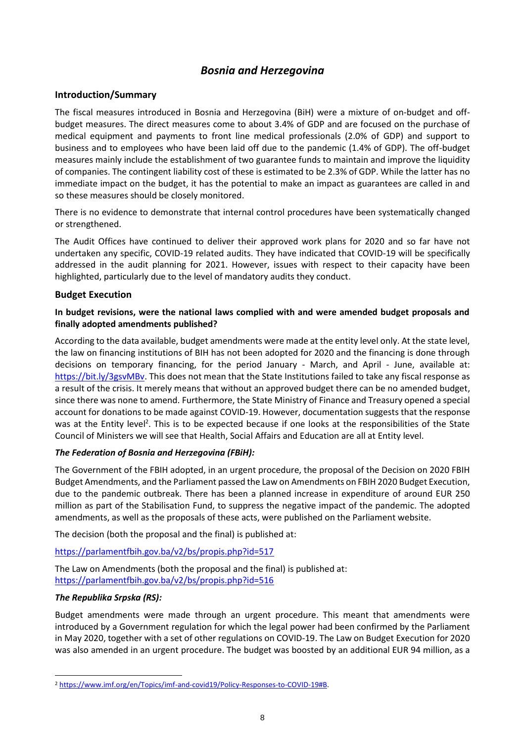# *Bosnia and Herzegovina*

# <span id="page-7-0"></span>**Introduction/Summary**

The fiscal measures introduced in Bosnia and Herzegovina (BiH) were a mixture of on-budget and offbudget measures. The direct measures come to about 3.4% of GDP and are focused on the purchase of medical equipment and payments to front line medical professionals (2.0% of GDP) and support to business and to employees who have been laid off due to the pandemic (1.4% of GDP). The off-budget measures mainly include the establishment of two guarantee funds to maintain and improve the liquidity of companies. The contingent liability cost of these is estimated to be 2.3% of GDP. While the latter has no immediate impact on the budget, it has the potential to make an impact as guarantees are called in and so these measures should be closely monitored.

There is no evidence to demonstrate that internal control procedures have been systematically changed or strengthened.

The Audit Offices have continued to deliver their approved work plans for 2020 and so far have not undertaken any specific, COVID-19 related audits. They have indicated that COVID-19 will be specifically addressed in the audit planning for 2021. However, issues with respect to their capacity have been highlighted, particularly due to the level of mandatory audits they conduct.

# **Budget Execution**

# **In budget revisions, were the national laws complied with and were amended budget proposals and finally adopted amendments published?**

According to the data available, budget amendments were made at the entity level only. At the state level, the law on financing institutions of BIH has not been adopted for 2020 and the financing is done through decisions on temporary financing, for the period January - March, and April - June, available at: [https://bit.ly/3gsvMBv.](https://bit.ly/3gsvMBv) This does not mean that the State Institutions failed to take any fiscal response as a result of the crisis. It merely means that without an approved budget there can be no amended budget, since there was none to amend. Furthermore, the State Ministry of Finance and Treasury opened a special account for donations to be made against COVID-19. However, documentation suggests that the response was at the Entity level<sup>2</sup>. This is to be expected because if one looks at the responsibilities of the State Council of Ministers we will see that Health, Social Affairs and Education are all at Entity level.

# *The Federation of Bosnia and Herzegovina (FBiH):*

The Government of the FBIH adopted, in an urgent procedure, the proposal of the Decision on 2020 FBIH Budget Amendments, and the Parliament passed the Law on Amendments on FBIH 2020 Budget Execution, due to the pandemic outbreak. There has been a planned increase in expenditure of around EUR 250 million as part of the Stabilisation Fund, to suppress the negative impact of the pandemic. The adopted amendments, as well as the proposals of these acts, were published on the Parliament website.

The decision (both the proposal and the final) is published at:

<https://parlamentfbih.gov.ba/v2/bs/propis.php?id=517>

The Law on Amendments (both the proposal and the final) is published at: <https://parlamentfbih.gov.ba/v2/bs/propis.php?id=516>

# *The Republika Srpska (RS):*

Budget amendments were made through an urgent procedure. This meant that amendments were introduced by a Government regulation for which the legal power had been confirmed by the Parliament in May 2020, together with a set of other regulations on COVID-19. The Law on Budget Execution for 2020 was also amended in an urgent procedure. The budget was boosted by an additional EUR 94 million, as a

 <sup>2</sup> [https://www.imf.org/en/Topics/imf-and-covid19/Policy-Responses-to-COVID-19#B.](https://www.imf.org/en/Topics/imf-and-covid19/Policy-Responses-to-COVID-19#B)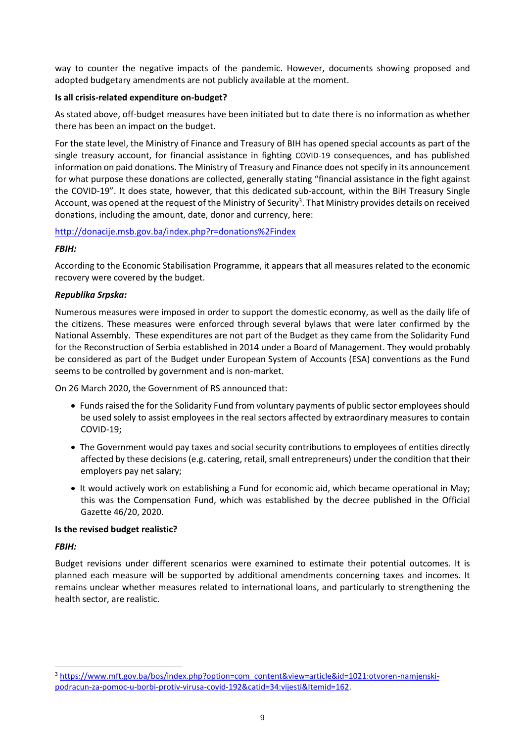way to counter the negative impacts of the pandemic. However, documents showing proposed and adopted budgetary amendments are not publicly available at the moment.

#### **Is all crisis-related expenditure on-budget?**

As stated above, off-budget measures have been initiated but to date there is no information as whether there has been an impact on the budget.

For the state level, the Ministry of Finance and Treasury of BIH has opened special accounts as part of the single treasury account, for financial assistance in fighting COVID-19 consequences, and has published information on paid donations. The Ministry of Treasury and Finance does not specify in its announcement for what purpose these donations are collected, generally stating "financial assistance in the fight against the COVID-19". It does state, however, that this dedicated sub-account, within the BiH Treasury Single Account, was opened at the request of the Ministry of Security<sup>3</sup>. That Ministry provides details on received donations, including the amount, date, donor and currency, here:

# <http://donacije.msb.gov.ba/index.php?r=donations%2Findex>

# *FBIH:*

According to the Economic Stabilisation Programme, it appears that all measures related to the economic recovery were covered by the budget.

# *Republika Srpska:*

Numerous measures were imposed in order to support the domestic economy, as well as the daily life of the citizens. These measures were enforced through several bylaws that were later confirmed by the National Assembly. These expenditures are not part of the Budget as they came from the Solidarity Fund for the Reconstruction of Serbia established in 2014 under a Board of Management. They would probably be considered as part of the Budget under European System of Accounts (ESA) conventions as the Fund seems to be controlled by government and is non-market.

On 26 March 2020, the Government of RS announced that:

- Funds raised the for the Solidarity Fund from voluntary payments of public sector employees should be used solely to assist employees in the real sectors affected by extraordinary measures to contain COVID-19;
- The Government would pay taxes and social security contributions to employees of entities directly affected by these decisions (e.g. catering, retail, small entrepreneurs) under the condition that their employers pay net salary;
- It would actively work on establishing a Fund for economic aid, which became operational in May; this was the Compensation Fund, which was established by the decree published in the Official Gazette 46/20, 2020.

#### **Is the revised budget realistic?**

#### *FBIH:*

Budget revisions under different scenarios were examined to estimate their potential outcomes. It is planned each measure will be supported by additional amendments concerning taxes and incomes. It remains unclear whether measures related to international loans, and particularly to strengthening the health sector, are realistic.

<sup>3</sup> [https://www.mft.gov.ba/bos/index.php?option=com\\_content&view=article&id=1021:otvoren-namjenski](https://www.mft.gov.ba/bos/index.php?option=com_content&view=article&id=1021:otvoren-namjenski-podracun-za-pomoc-u-borbi-protiv-virusa-covid-192&catid=34:vijesti&Itemid=162)[podracun-za-pomoc-u-borbi-protiv-virusa-covid-192&catid=34:vijesti&Itemid=162.](https://www.mft.gov.ba/bos/index.php?option=com_content&view=article&id=1021:otvoren-namjenski-podracun-za-pomoc-u-borbi-protiv-virusa-covid-192&catid=34:vijesti&Itemid=162)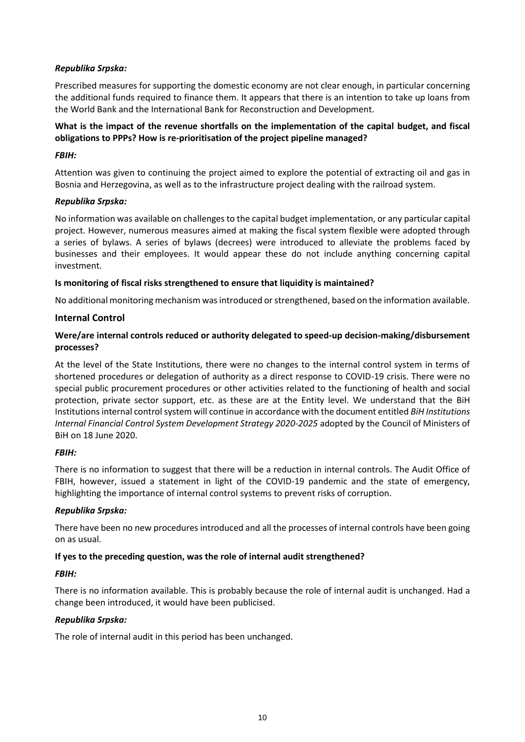# *Republika Srpska:*

Prescribed measures for supporting the domestic economy are not clear enough, in particular concerning the additional funds required to finance them. It appears that there is an intention to take up loans from the World Bank and the International Bank for Reconstruction and Development.

# **What is the impact of the revenue shortfalls on the implementation of the capital budget, and fiscal obligations to PPPs? How is re-prioritisation of the project pipeline managed?**

### *FBIH:*

Attention was given to continuing the project aimed to explore the potential of extracting oil and gas in Bosnia and Herzegovina, as well as to the infrastructure project dealing with the railroad system.

# *Republika Srpska:*

No information was available on challenges to the capital budget implementation, or any particular capital project. However, numerous measures aimed at making the fiscal system flexible were adopted through a series of bylaws. A series of bylaws (decrees) were introduced to alleviate the problems faced by businesses and their employees. It would appear these do not include anything concerning capital investment.

# **Is monitoring of fiscal risks strengthened to ensure that liquidity is maintained?**

No additional monitoring mechanism was introduced or strengthened, based on the information available.

# **Internal Control**

# **Were/are internal controls reduced or authority delegated to speed-up decision-making/disbursement processes?**

At the level of the State Institutions, there were no changes to the internal control system in terms of shortened procedures or delegation of authority as a direct response to COVID-19 crisis. There were no special public procurement procedures or other activities related to the functioning of health and social protection, private sector support, etc. as these are at the Entity level. We understand that the BiH Institutions internal control system will continue in accordance with the document entitled *BiH Institutions Internal Financial Control System Development Strategy 2020-2025* adopted by the Council of Ministers of BiH on 18 June 2020.

#### *FBIH:*

There is no information to suggest that there will be a reduction in internal controls. The Audit Office of FBIH, however, issued a statement in light of the COVID-19 pandemic and the state of emergency, highlighting the importance of internal control systems to prevent risks of corruption.

#### *Republika Srpska:*

There have been no new procedures introduced and all the processes of internal controls have been going on as usual.

# **If yes to the preceding question, was the role of internal audit strengthened?**

#### *FBIH:*

There is no information available. This is probably because the role of internal audit is unchanged. Had a change been introduced, it would have been publicised.

#### *Republika Srpska:*

The role of internal audit in this period has been unchanged.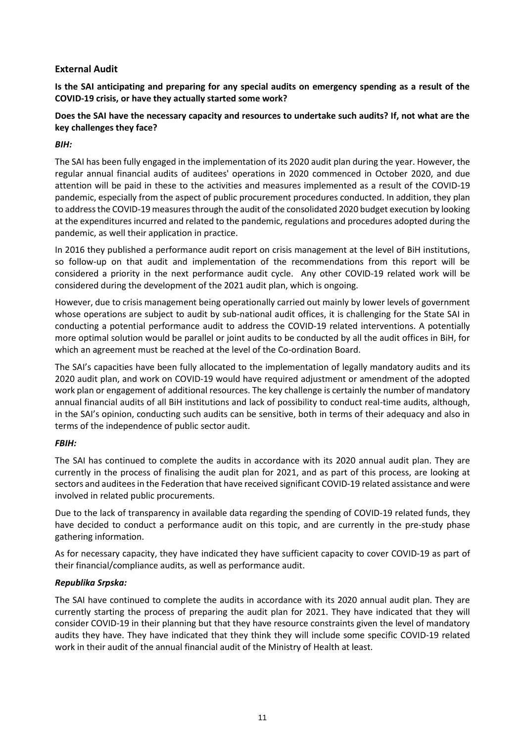# **External Audit**

**Is the SAI anticipating and preparing for any special audits on emergency spending as a result of the COVID-19 crisis, or have they actually started some work?** 

# **Does the SAI have the necessary capacity and resources to undertake such audits? If, not what are the key challenges they face?**

# *BIH:*

The SAI has been fully engaged in the implementation of its 2020 audit plan during the year. However, the regular annual financial audits of auditees' operations in 2020 commenced in October 2020, and due attention will be paid in these to the activities and measures implemented as a result of the COVID-19 pandemic, especially from the aspect of public procurement procedures conducted. In addition, they plan to address the COVID-19 measures through the audit of the consolidated 2020 budget execution by looking at the expenditures incurred and related to the pandemic, regulations and procedures adopted during the pandemic, as well their application in practice.

In 2016 they published a performance audit report on crisis management at the level of BiH institutions, so follow-up on that audit and implementation of the recommendations from this report will be considered a priority in the next performance audit cycle. Any other COVID-19 related work will be considered during the development of the 2021 audit plan, which is ongoing.

However, due to crisis management being operationally carried out mainly by lower levels of government whose operations are subject to audit by sub-national audit offices, it is challenging for the State SAI in conducting a potential performance audit to address the COVID-19 related interventions. A potentially more optimal solution would be parallel or joint audits to be conducted by all the audit offices in BiH, for which an agreement must be reached at the level of the Co-ordination Board.

The SAI's capacities have been fully allocated to the implementation of legally mandatory audits and its 2020 audit plan, and work on COVID-19 would have required adjustment or amendment of the adopted work plan or engagement of additional resources. The key challenge is certainly the number of mandatory annual financial audits of all BiH institutions and lack of possibility to conduct real-time audits, although, in the SAI's opinion, conducting such audits can be sensitive, both in terms of their adequacy and also in terms of the independence of public sector audit.

# *FBIH:*

The SAI has continued to complete the audits in accordance with its 2020 annual audit plan. They are currently in the process of finalising the audit plan for 2021, and as part of this process, are looking at sectors and auditees in the Federation that have received significant COVID-19 related assistance and were involved in related public procurements.

Due to the lack of transparency in available data regarding the spending of COVID-19 related funds, they have decided to conduct a performance audit on this topic, and are currently in the pre-study phase gathering information.

As for necessary capacity, they have indicated they have sufficient capacity to cover COVID-19 as part of their financial/compliance audits, as well as performance audit.

# *Republika Srpska:*

The SAI have continued to complete the audits in accordance with its 2020 annual audit plan. They are currently starting the process of preparing the audit plan for 2021. They have indicated that they will consider COVID-19 in their planning but that they have resource constraints given the level of mandatory audits they have. They have indicated that they think they will include some specific COVID-19 related work in their audit of the annual financial audit of the Ministry of Health at least.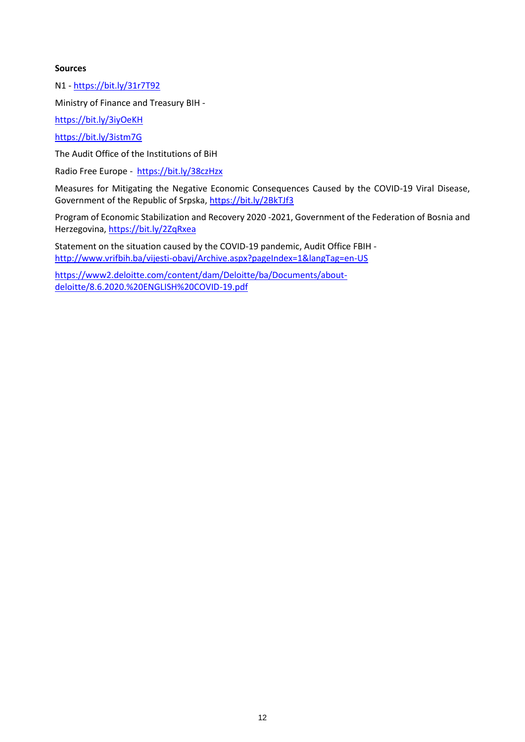#### **Sources**

N1 - <https://bit.ly/31r7T92>

Ministry of Finance and Treasury BIH -

<https://bit.ly/3iyOeKH>

<https://bit.ly/3istm7G>

The Audit Office of the Institutions of BiH

Radio Free Europe -<https://bit.ly/38czHzx>

Measures for Mitigating the Negative Economic Consequences Caused by the COVID-19 Viral Disease, Government of the Republic of Srpska[, https://bit.ly/2BkTJf3](https://bit.ly/2BkTJf3)

Program of Economic Stabilization and Recovery 2020 -2021, Government of the Federation of Bosnia and Herzegovina,<https://bit.ly/2ZqRxea>

Statement on the situation caused by the COVID-19 pandemic, Audit Office FBIH <http://www.vrifbih.ba/vijesti-obavj/Archive.aspx?pageIndex=1&langTag=en-US>

[https://www2.deloitte.com/content/dam/Deloitte/ba/Documents/about](https://www2.deloitte.com/content/dam/Deloitte/ba/Documents/about-deloitte/8.6.2020.%20ENGLISH%20COVID-19.pdf)[deloitte/8.6.2020.%20ENGLISH%20COVID-19.pdf](https://www2.deloitte.com/content/dam/Deloitte/ba/Documents/about-deloitte/8.6.2020.%20ENGLISH%20COVID-19.pdf)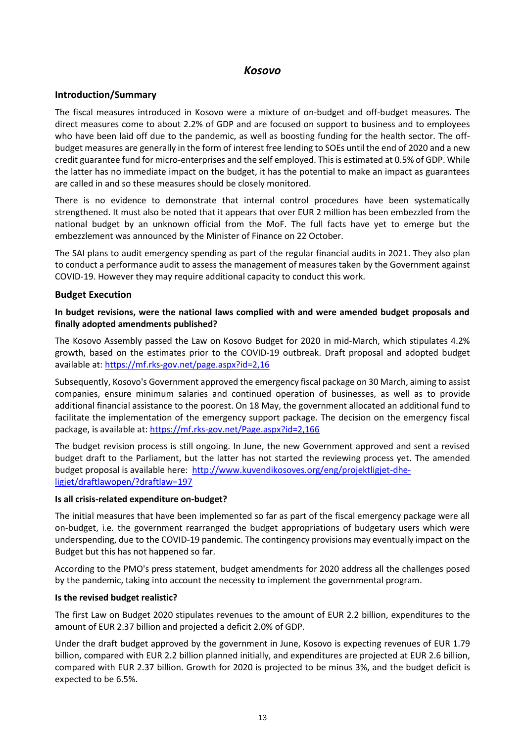# *Kosovo*

# <span id="page-12-0"></span>**Introduction/Summary**

The fiscal measures introduced in Kosovo were a mixture of on-budget and off-budget measures. The direct measures come to about 2.2% of GDP and are focused on support to business and to employees who have been laid off due to the pandemic, as well as boosting funding for the health sector. The offbudget measures are generally in the form of interest free lending to SOEs until the end of 2020 and a new credit guarantee fund for micro-enterprises and the self employed. Thisis estimated at 0.5% of GDP. While the latter has no immediate impact on the budget, it has the potential to make an impact as guarantees are called in and so these measures should be closely monitored.

There is no evidence to demonstrate that internal control procedures have been systematically strengthened. It must also be noted that it appears that over EUR 2 million has been embezzled from the national budget by an unknown official from the MoF. The full facts have yet to emerge but the embezzlement was announced by the Minister of Finance on 22 October.

The SAI plans to audit emergency spending as part of the regular financial audits in 2021. They also plan to conduct a performance audit to assess the management of measures taken by the Government against COVID-19. However they may require additional capacity to conduct this work.

# **Budget Execution**

# **In budget revisions, were the national laws complied with and were amended budget proposals and finally adopted amendments published?**

The Kosovo Assembly passed the Law on Kosovo Budget for 2020 in mid-March, which stipulates 4.2% growth, based on the estimates prior to the COVID-19 outbreak. Draft proposal and adopted budget available at:<https://mf.rks-gov.net/page.aspx?id=2,16>

Subsequently, Kosovo's Government approved the emergency fiscal package on 30 March, aiming to assist companies, ensure minimum salaries and continued operation of businesses, as well as to provide additional financial assistance to the poorest. On 18 May, the government allocated an additional fund to facilitate the implementation of the emergency support package. The decision on the emergency fiscal package, is available at:<https://mf.rks-gov.net/Page.aspx?id=2,166>

The budget revision process is still ongoing. In June, the new Government approved and sent a revised budget draft to the Parliament, but the latter has not started the reviewing process yet. The amended budget proposal is available here: [http://www.kuvendikosoves.org/eng/projektligjet-dhe](http://www.kuvendikosoves.org/eng/projektligjet-dhe-ligjet/draftlawopen/?draftlaw=197)[ligjet/draftlawopen/?draftlaw=197](http://www.kuvendikosoves.org/eng/projektligjet-dhe-ligjet/draftlawopen/?draftlaw=197)

#### **Is all crisis-related expenditure on-budget?**

The initial measures that have been implemented so far as part of the fiscal emergency package were all on-budget, i.e. the government rearranged the budget appropriations of budgetary users which were underspending, due to the COVID-19 pandemic. The contingency provisions may eventually impact on the Budget but this has not happened so far.

According to the PMO's press statement, budget amendments for 2020 address all the challenges posed by the pandemic, taking into account the necessity to implement the governmental program.

#### **Is the revised budget realistic?**

The first Law on Budget 2020 stipulates revenues to the amount of EUR 2.2 billion, expenditures to the amount of EUR 2.37 billion and projected a deficit 2.0% of GDP.

Under the draft budget approved by the government in June, Kosovo is expecting revenues of EUR 1.79 billion, compared with EUR 2.2 billion planned initially, and expenditures are projected at EUR 2.6 billion, compared with EUR 2.37 billion. Growth for 2020 is projected to be minus 3%, and the budget deficit is expected to be 6.5%.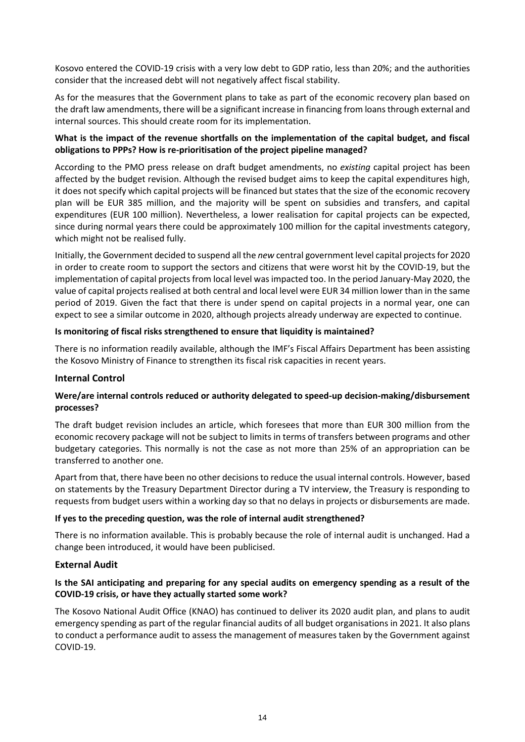Kosovo entered the COVID-19 crisis with a very low debt to GDP ratio, less than 20%; and the authorities consider that the increased debt will not negatively affect fiscal stability.

As for the measures that the Government plans to take as part of the economic recovery plan based on the draft law amendments, there will be a significant increase in financing from loans through external and internal sources. This should create room for its implementation.

# **What is the impact of the revenue shortfalls on the implementation of the capital budget, and fiscal obligations to PPPs? How is re-prioritisation of the project pipeline managed?**

According to the PMO press release on draft budget amendments, no *existing* capital project has been affected by the budget revision. Although the revised budget aims to keep the capital expenditures high, it does not specify which capital projects will be financed but states that the size of the economic recovery plan will be EUR 385 million, and the majority will be spent on subsidies and transfers, and capital expenditures (EUR 100 million). Nevertheless, a lower realisation for capital projects can be expected, since during normal years there could be approximately 100 million for the capital investments category, which might not be realised fully.

Initially, the Government decided to suspend all the *new* central government level capital projects for 2020 in order to create room to support the sectors and citizens that were worst hit by the COVID-19, but the implementation of capital projects from local level was impacted too. In the period January-May 2020, the value of capital projects realised at both central and local level were EUR 34 million lower than in the same period of 2019. Given the fact that there is under spend on capital projects in a normal year, one can expect to see a similar outcome in 2020, although projects already underway are expected to continue.

# **Is monitoring of fiscal risks strengthened to ensure that liquidity is maintained?**

There is no information readily available, although the IMF's Fiscal Affairs Department has been assisting the Kosovo Ministry of Finance to strengthen its fiscal risk capacities in recent years.

# **Internal Control**

# **Were/are internal controls reduced or authority delegated to speed-up decision-making/disbursement processes?**

The draft budget revision includes an article, which foresees that more than EUR 300 million from the economic recovery package will not be subject to limits in terms of transfers between programs and other budgetary categories. This normally is not the case as not more than 25% of an appropriation can be transferred to another one.

Apart from that, there have been no other decisions to reduce the usual internal controls. However, based on statements by the Treasury Department Director during a TV interview, the Treasury is responding to requests from budget users within a working day so that no delays in projects or disbursements are made.

#### **If yes to the preceding question, was the role of internal audit strengthened?**

There is no information available. This is probably because the role of internal audit is unchanged. Had a change been introduced, it would have been publicised.

#### **External Audit**

# **Is the SAI anticipating and preparing for any special audits on emergency spending as a result of the COVID-19 crisis, or have they actually started some work?**

The Kosovo National Audit Office (KNAO) has continued to deliver its 2020 audit plan, and plans to audit emergency spending as part of the regular financial audits of all budget organisations in 2021. It also plans to conduct a performance audit to assess the management of measures taken by the Government against COVID-19.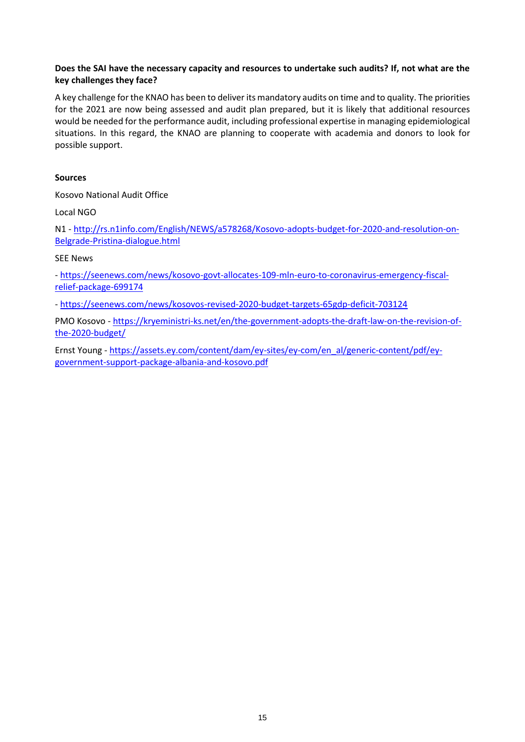# **Does the SAI have the necessary capacity and resources to undertake such audits? If, not what are the key challenges they face?**

A key challenge for the KNAO has been to deliver its mandatory audits on time and to quality. The priorities for the 2021 are now being assessed and audit plan prepared, but it is likely that additional resources would be needed for the performance audit, including professional expertise in managing epidemiological situations. In this regard, the KNAO are planning to cooperate with academia and donors to look for possible support.

# **Sources**

Kosovo National Audit Office

Local NGO

N1 - [http://rs.n1info.com/English/NEWS/a578268/Kosovo-adopts-budget-for-2020-and-resolution-on-](http://rs.n1info.com/English/NEWS/a578268/Kosovo-adopts-budget-for-2020-and-resolution-on-Belgrade-Pristina-dialogue.html)[Belgrade-Pristina-dialogue.html](http://rs.n1info.com/English/NEWS/a578268/Kosovo-adopts-budget-for-2020-and-resolution-on-Belgrade-Pristina-dialogue.html)

# SEE News

- [https://seenews.com/news/kosovo-govt-allocates-109-mln-euro-to-coronavirus-emergency-fiscal](https://seenews.com/news/kosovo-govt-allocates-109-mln-euro-to-coronavirus-emergency-fiscal-relief-package-699174)[relief-package-699174](https://seenews.com/news/kosovo-govt-allocates-109-mln-euro-to-coronavirus-emergency-fiscal-relief-package-699174)

- <https://seenews.com/news/kosovos-revised-2020-budget-targets-65gdp-deficit-703124>

PMO Kosovo - [https://kryeministri-ks.net/en/the-government-adopts-the-draft-law-on-the-revision-of](https://kryeministri-ks.net/en/the-government-adopts-the-draft-law-on-the-revision-of-the-2020-budget/)[the-2020-budget/](https://kryeministri-ks.net/en/the-government-adopts-the-draft-law-on-the-revision-of-the-2020-budget/)

Ernst Young - [https://assets.ey.com/content/dam/ey-sites/ey-com/en\\_al/generic-content/pdf/ey](https://assets.ey.com/content/dam/ey-sites/ey-com/en_al/generic-content/pdf/ey-government-support-package-albania-and-kosovo.pdf)[government-support-package-albania-and-kosovo.pdf](https://assets.ey.com/content/dam/ey-sites/ey-com/en_al/generic-content/pdf/ey-government-support-package-albania-and-kosovo.pdf)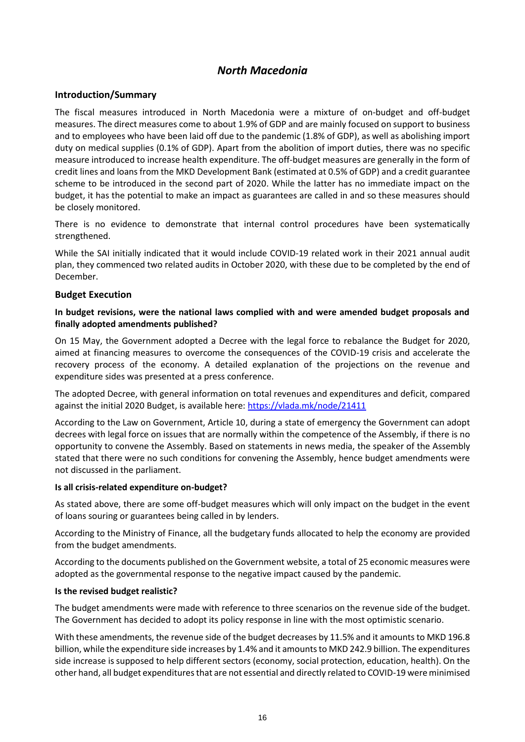# *North Macedonia*

# <span id="page-15-0"></span>**Introduction/Summary**

The fiscal measures introduced in North Macedonia were a mixture of on-budget and off-budget measures. The direct measures come to about 1.9% of GDP and are mainly focused on support to business and to employees who have been laid off due to the pandemic (1.8% of GDP), as well as abolishing import duty on medical supplies (0.1% of GDP). Apart from the abolition of import duties, there was no specific measure introduced to increase health expenditure. The off-budget measures are generally in the form of credit lines and loans from the MKD Development Bank (estimated at 0.5% of GDP) and a credit guarantee scheme to be introduced in the second part of 2020. While the latter has no immediate impact on the budget, it has the potential to make an impact as guarantees are called in and so these measures should be closely monitored.

There is no evidence to demonstrate that internal control procedures have been systematically strengthened.

While the SAI initially indicated that it would include COVID-19 related work in their 2021 annual audit plan, they commenced two related audits in October 2020, with these due to be completed by the end of December.

#### **Budget Execution**

# **In budget revisions, were the national laws complied with and were amended budget proposals and finally adopted amendments published?**

On 15 May, the Government adopted a Decree with the legal force to rebalance the Budget for 2020, aimed at financing measures to overcome the consequences of the COVID-19 crisis and accelerate the recovery process of the economy. A detailed explanation of the projections on the revenue and expenditure sides was presented at a press conference.

The adopted Decree, with general information on total revenues and expenditures and deficit, compared against the initial 2020 Budget, is available here:<https://vlada.mk/node/21411>

According to the Law on Government, Article 10, during a state of emergency the Government can adopt decrees with legal force on issues that are normally within the competence of the Assembly, if there is no opportunity to convene the Assembly. Based on statements in news media, the speaker of the Assembly stated that there were no such conditions for convening the Assembly, hence budget amendments were not discussed in the parliament.

#### **Is all crisis-related expenditure on-budget?**

As stated above, there are some off-budget measures which will only impact on the budget in the event of loans souring or guarantees being called in by lenders.

According to the Ministry of Finance, all the budgetary funds allocated to help the economy are provided from the budget amendments.

According to the documents published on the Government website, a total of 25 economic measures were adopted as the governmental response to the negative impact caused by the pandemic.

#### **Is the revised budget realistic?**

The budget amendments were made with reference to three scenarios on the revenue side of the budget. The Government has decided to adopt its policy response in line with the most optimistic scenario.

With these amendments, the revenue side of the budget decreases by 11.5% and it amounts to MKD 196.8 billion, while the expenditure side increases by 1.4% and it amounts to MKD 242.9 billion. The expenditures side increase is supposed to help different sectors (economy, social protection, education, health). On the other hand, all budget expenditures that are not essential and directly related to COVID-19 were minimised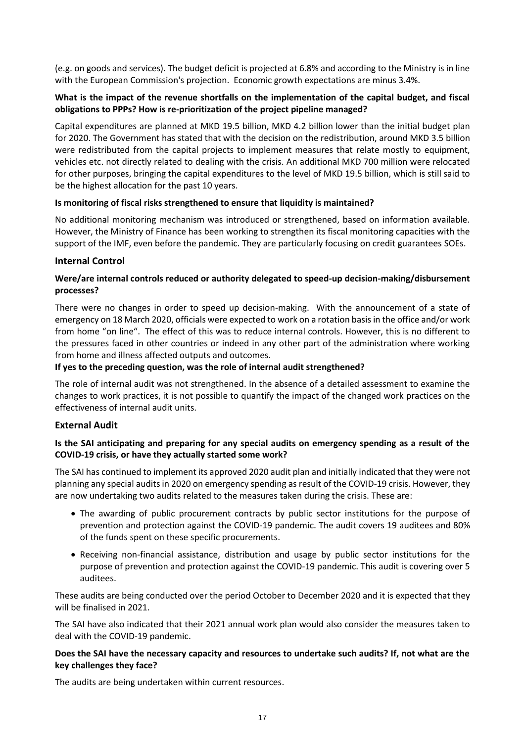(e.g. on goods and services). The budget deficit is projected at 6.8% and according to the Ministry is in line with the European Commission's projection. Economic growth expectations are minus 3.4%.

# **What is the impact of the revenue shortfalls on the implementation of the capital budget, and fiscal obligations to PPPs? How is re-prioritization of the project pipeline managed?**

Capital expenditures are planned at MKD 19.5 billion, MKD 4.2 billion lower than the initial budget plan for 2020. The Government has stated that with the decision on the redistribution, around MKD 3.5 billion were redistributed from the capital projects to implement measures that relate mostly to equipment, vehicles etc. not directly related to dealing with the crisis. An additional MKD 700 million were relocated for other purposes, bringing the capital expenditures to the level of MKD 19.5 billion, which is still said to be the highest allocation for the past 10 years.

# **Is monitoring of fiscal risks strengthened to ensure that liquidity is maintained?**

No additional monitoring mechanism was introduced or strengthened, based on information available. However, the Ministry of Finance has been working to strengthen its fiscal monitoring capacities with the support of the IMF, even before the pandemic. They are particularly focusing on credit guarantees SOEs.

# **Internal Control**

# **Were/are internal controls reduced or authority delegated to speed-up decision-making/disbursement processes?**

There were no changes in order to speed up decision-making. With the announcement of a state of emergency on 18 March 2020, officials were expected to work on a rotation basis in the office and/or work from home "on line". The effect of this was to reduce internal controls. However, this is no different to the pressures faced in other countries or indeed in any other part of the administration where working from home and illness affected outputs and outcomes.

# **If yes to the preceding question, was the role of internal audit strengthened?**

The role of internal audit was not strengthened. In the absence of a detailed assessment to examine the changes to work practices, it is not possible to quantify the impact of the changed work practices on the effectiveness of internal audit units.

# **External Audit**

# **Is the SAI anticipating and preparing for any special audits on emergency spending as a result of the COVID-19 crisis, or have they actually started some work?**

The SAI has continued to implement its approved 2020 audit plan and initially indicated that they were not planning any special audits in 2020 on emergency spending as result of the COVID-19 crisis. However, they are now undertaking two audits related to the measures taken during the crisis. These are:

- The awarding of public procurement contracts by public sector institutions for the purpose of prevention and protection against the COVID-19 pandemic. The audit covers 19 auditees and 80% of the funds spent on these specific procurements.
- Receiving non-financial assistance, distribution and usage by public sector institutions for the purpose of prevention and protection against the COVID-19 pandemic. This audit is covering over 5 auditees.

These audits are being conducted over the period October to December 2020 and it is expected that they will be finalised in 2021.

The SAI have also indicated that their 2021 annual work plan would also consider the measures taken to deal with the COVID-19 pandemic.

#### **Does the SAI have the necessary capacity and resources to undertake such audits? If, not what are the key challenges they face?**

The audits are being undertaken within current resources.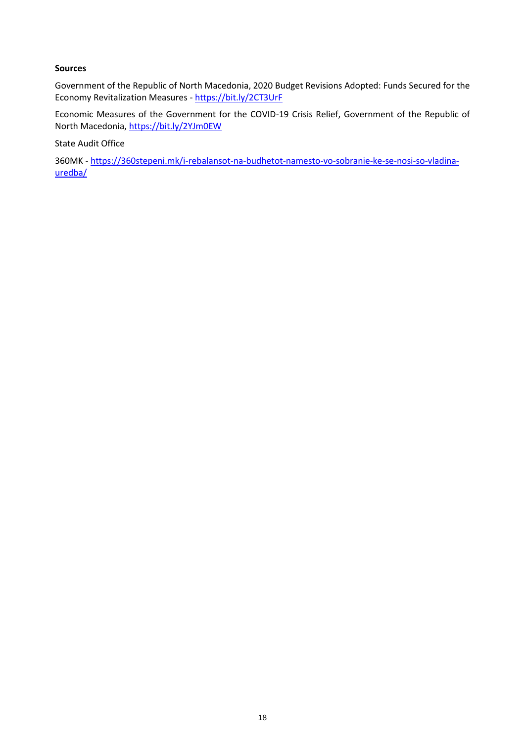### **Sources**

Government of the Republic of North Macedonia, 2020 Budget Revisions Adopted: Funds Secured for the Economy Revitalization Measures - <https://bit.ly/2CT3UrF>

Economic Measures of the Government for the COVID-19 Crisis Relief, Government of the Republic of North Macedonia,<https://bit.ly/2YJm0EW>

State Audit Office

360MK - [https://360stepeni.mk/i-rebalansot-na-budhetot-namesto-vo-sobranie-ke-se-nosi-so-vladina](https://360stepeni.mk/i-rebalansot-na-budhetot-namesto-vo-sobranie-ke-se-nosi-so-vladina-uredba/)[uredba/](https://360stepeni.mk/i-rebalansot-na-budhetot-namesto-vo-sobranie-ke-se-nosi-so-vladina-uredba/)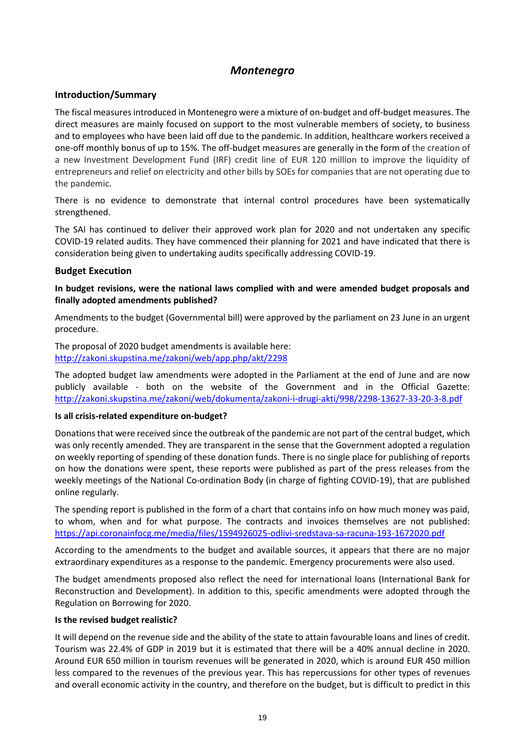# *Montenegro*

# <span id="page-18-0"></span>**Introduction/Summary**

The fiscal measures introduced in Montenegro were a mixture of on-budget and off-budget measures. The direct measures are mainly focused on support to the most vulnerable members of society, to business and to employees who have been laid off due to the pandemic. In addition, healthcare workers received a one-off monthly bonus of up to 15%. The off-budget measures are generally in the form of the creation of a new Investment Development Fund (IRF) credit line of EUR 120 million to improve the liquidity of entrepreneurs and relief on electricity and other bills by SOEs for companies that are not operating due to the pandemic.

There is no evidence to demonstrate that internal control procedures have been systematically strengthened.

The SAI has continued to deliver their approved work plan for 2020 and not undertaken any specific COVID-19 related audits. They have commenced their planning for 2021 and have indicated that there is consideration being given to undertaking audits specifically addressing COVID-19.

# **Budget Execution**

**In budget revisions, were the national laws complied with and were amended budget proposals and finally adopted amendments published?**

Amendments to the budget (Governmental bill) were approved by the parliament on 23 June in an urgent procedure.

The proposal of 2020 budget amendments is available here: <http://zakoni.skupstina.me/zakoni/web/app.php/akt/2298>

The adopted budget law amendments were adopted in the Parliament at the end of June and are now publicly available - both on the website of the Government and in the Official Gazette: <http://zakoni.skupstina.me/zakoni/web/dokumenta/zakoni-i-drugi-akti/998/2298-13627-33-20-3-8.pdf>

#### **Is all crisis-related expenditure on-budget?**

Donations that were received since the outbreak of the pandemic are not part of the central budget, which was only recently amended. They are transparent in the sense that the Government adopted a regulation on weekly reporting of spending of these donation funds. There is no single place for publishing of reports on how the donations were spent, these reports were published as part of the press releases from the weekly meetings of the National Co-ordination Body (in charge of fighting COVID-19), that are published online regularly.

The spending report is published in the form of a chart that contains info on how much money was paid, to whom, when and for what purpose. The contracts and invoices themselves are not published: <https://api.coronainfocg.me/media/files/1594926025-odlivi-sredstava-sa-racuna-193-1672020.pdf>

According to the amendments to the budget and available sources, it appears that there are no major extraordinary expenditures as a response to the pandemic. Emergency procurements were also used.

The budget amendments proposed also reflect the need for international loans (International Bank for Reconstruction and Development). In addition to this, specific amendments were adopted through the Regulation on Borrowing for 2020.

#### **Is the revised budget realistic?**

It will depend on the revenue side and the ability of the state to attain favourable loans and lines of credit. Tourism was 22.4% of GDP in 2019 but it is estimated that there will be a 40% annual decline in 2020. Around EUR 650 million in tourism revenues will be generated in 2020, which is around EUR 450 million less compared to the revenues of the previous year. This has repercussions for other types of revenues and overall economic activity in the country, and therefore on the budget, but is difficult to predict in this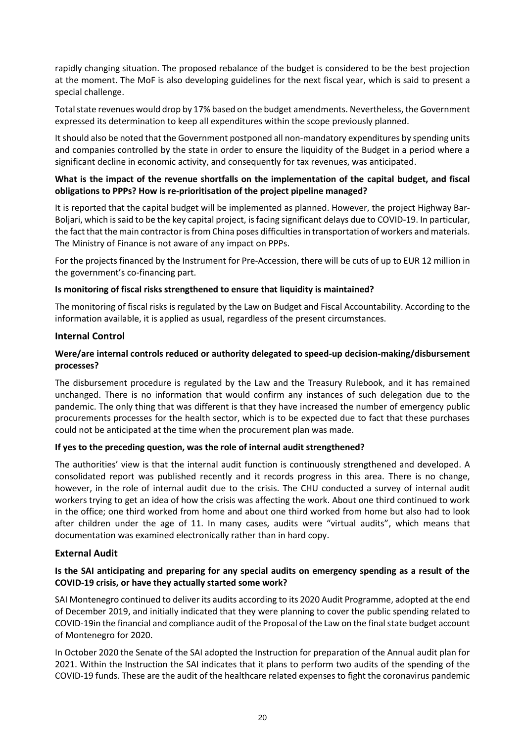rapidly changing situation. The proposed rebalance of the budget is considered to be the best projection at the moment. The MoF is also developing guidelines for the next fiscal year, which is said to present a special challenge.

Total state revenues would drop by 17% based on the budget amendments. Nevertheless, the Government expressed its determination to keep all expenditures within the scope previously planned.

It should also be noted that the Government postponed all non-mandatory expenditures by spending units and companies controlled by the state in order to ensure the liquidity of the Budget in a period where a significant decline in economic activity, and consequently for tax revenues, was anticipated.

# **What is the impact of the revenue shortfalls on the implementation of the capital budget, and fiscal obligations to PPPs? How is re-prioritisation of the project pipeline managed?**

It is reported that the capital budget will be implemented as planned. However, the project Highway Bar-Boljari, which is said to be the key capital project, is facing significant delays due to COVID-19. In particular, the fact that the main contractor is from China poses difficulties in transportation of workers and materials. The Ministry of Finance is not aware of any impact on PPPs.

For the projects financed by the Instrument for Pre-Accession, there will be cuts of up to EUR 12 million in the government's co-financing part.

# **Is monitoring of fiscal risks strengthened to ensure that liquidity is maintained?**

The monitoring of fiscal risks is regulated by the Law on Budget and Fiscal Accountability. According to the information available, it is applied as usual, regardless of the present circumstances.

# **Internal Control**

# **Were/are internal controls reduced or authority delegated to speed-up decision-making/disbursement processes?**

The disbursement procedure is regulated by the Law and the Treasury Rulebook, and it has remained unchanged. There is no information that would confirm any instances of such delegation due to the pandemic. The only thing that was different is that they have increased the number of emergency public procurements processes for the health sector, which is to be expected due to fact that these purchases could not be anticipated at the time when the procurement plan was made.

#### **If yes to the preceding question, was the role of internal audit strengthened?**

The authorities' view is that the internal audit function is continuously strengthened and developed. A consolidated report was published recently and it records progress in this area. There is no change, however, in the role of internal audit due to the crisis. The CHU conducted a survey of internal audit workers trying to get an idea of how the crisis was affecting the work. About one third continued to work in the office; one third worked from home and about one third worked from home but also had to look after children under the age of 11. In many cases, audits were "virtual audits", which means that documentation was examined electronically rather than in hard copy.

#### **External Audit**

# **Is the SAI anticipating and preparing for any special audits on emergency spending as a result of the COVID-19 crisis, or have they actually started some work?**

SAI Montenegro continued to deliver its audits according to its 2020 Audit Programme, adopted at the end of December 2019, and initially indicated that they were planning to cover the public spending related to COVID-19in the financial and compliance audit of the Proposal of the Law on the final state budget account of Montenegro for 2020.

In October 2020 the Senate of the SAI adopted the Instruction for preparation of the Annual audit plan for 2021. Within the Instruction the SAI indicates that it plans to perform two audits of the spending of the COVID-19 funds. These are the audit of the healthcare related expenses to fight the coronavirus pandemic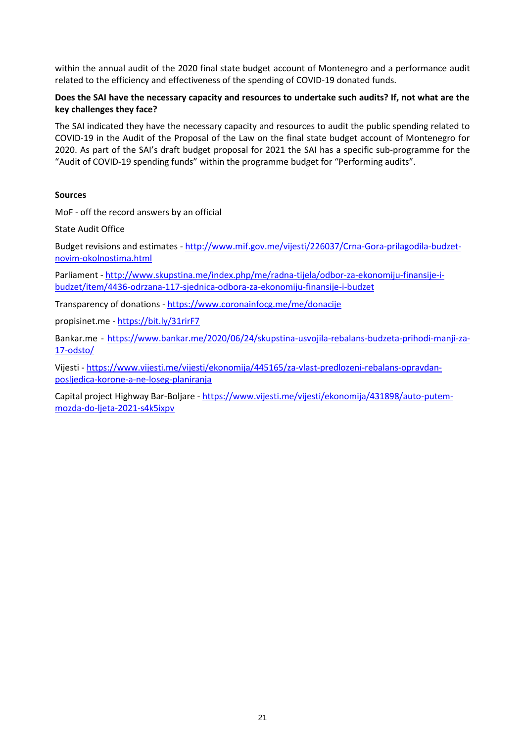within the annual audit of the 2020 final state budget account of Montenegro and a performance audit related to the efficiency and effectiveness of the spending of COVID-19 donated funds.

# **Does the SAI have the necessary capacity and resources to undertake such audits? If, not what are the key challenges they face?**

The SAI indicated they have the necessary capacity and resources to audit the public spending related to COVID-19 in the Audit of the Proposal of the Law on the final state budget account of Montenegro for 2020. As part of the SAI's draft budget proposal for 2021 the SAI has a specific sub-programme for the "Audit of COVID-19 spending funds" within the programme budget for "Performing audits".

# **Sources**

MoF - off the record answers by an official

State Audit Office

Budget revisions and estimates - [http://www.mif.gov.me/vijesti/226037/Crna-Gora-prilagodila-budzet](http://www.mif.gov.me/vijesti/226037/Crna-Gora-prilagodila-budzet-novim-okolnostima.html)[novim-okolnostima.html](http://www.mif.gov.me/vijesti/226037/Crna-Gora-prilagodila-budzet-novim-okolnostima.html)

Parliament - [http://www.skupstina.me/index.php/me/radna-tijela/odbor-za-ekonomiju-finansije-i](http://www.skupstina.me/index.php/me/radna-tijela/odbor-za-ekonomiju-finansije-i-budzet/item/4436-odrzana-117-sjednica-odbora-za-ekonomiju-finansije-i-budzet)[budzet/item/4436-odrzana-117-sjednica-odbora-za-ekonomiju-finansije-i-budzet](http://www.skupstina.me/index.php/me/radna-tijela/odbor-za-ekonomiju-finansije-i-budzet/item/4436-odrzana-117-sjednica-odbora-za-ekonomiju-finansije-i-budzet)

Transparency of donations - <https://www.coronainfocg.me/me/donacije>

propisinet.me - <https://bit.ly/31rirF7>

Bankar.me - [https://www.bankar.me/2020/06/24/skupstina-usvojila-rebalans-budzeta-prihodi-manji-za-](https://www.bankar.me/2020/06/24/skupstina-usvojila-rebalans-budzeta-prihodi-manji-za-17-odsto/)[17-odsto/](https://www.bankar.me/2020/06/24/skupstina-usvojila-rebalans-budzeta-prihodi-manji-za-17-odsto/)

Vijesti - [https://www.vijesti.me/vijesti/ekonomija/445165/za-vlast-predlozeni-rebalans-opravdan](https://www.vijesti.me/vijesti/ekonomija/445165/za-vlast-predlozeni-rebalans-opravdan-posljedica-korone-a-ne-loseg-planiranja)[posljedica-korone-a-ne-loseg-planiranja](https://www.vijesti.me/vijesti/ekonomija/445165/za-vlast-predlozeni-rebalans-opravdan-posljedica-korone-a-ne-loseg-planiranja)

Capital project Highway Bar-Boljare - [https://www.vijesti.me/vijesti/ekonomija/431898/auto-putem](https://www.vijesti.me/vijesti/ekonomija/431898/auto-putem-mozda-do-ljeta-2021-s4k5ixpv)[mozda-do-ljeta-2021-s4k5ixpv](https://www.vijesti.me/vijesti/ekonomija/431898/auto-putem-mozda-do-ljeta-2021-s4k5ixpv)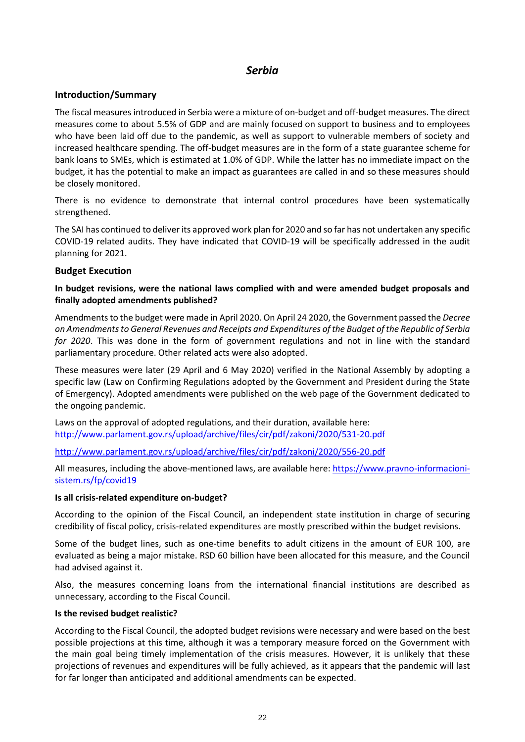# *Serbia*

# <span id="page-21-0"></span>**Introduction/Summary**

The fiscal measures introduced in Serbia were a mixture of on-budget and off-budget measures. The direct measures come to about 5.5% of GDP and are mainly focused on support to business and to employees who have been laid off due to the pandemic, as well as support to vulnerable members of society and increased healthcare spending. The off-budget measures are in the form of a state guarantee scheme for bank loans to SMEs, which is estimated at 1.0% of GDP. While the latter has no immediate impact on the budget, it has the potential to make an impact as guarantees are called in and so these measures should be closely monitored.

There is no evidence to demonstrate that internal control procedures have been systematically strengthened.

The SAI has continued to deliver its approved work plan for 2020 and so far has not undertaken any specific COVID-19 related audits. They have indicated that COVID-19 will be specifically addressed in the audit planning for 2021.

# **Budget Execution**

# **In budget revisions, were the national laws complied with and were amended budget proposals and finally adopted amendments published?**

Amendments to the budget were made in April 2020. On April 24 2020, the Government passed the *Decree on Amendments to General Revenues and Receipts and Expenditures of the Budget of the Republic of Serbia for 2020*. This was done in the form of government regulations and not in line with the standard parliamentary procedure. Other related acts were also adopted.

These measures were later (29 April and 6 May 2020) verified in the National Assembly by adopting a specific law (Law on Confirming Regulations adopted by the Government and President during the State of Emergency). Adopted amendments were published on the web page of the Government dedicated to the ongoing pandemic.

Laws on the approval of adopted regulations, and their duration, available here: <http://www.parlament.gov.rs/upload/archive/files/cir/pdf/zakoni/2020/531-20.pdf>

<http://www.parlament.gov.rs/upload/archive/files/cir/pdf/zakoni/2020/556-20.pdf>

All measures, including the above-mentioned laws, are available here: [https://www.pravno-informacioni](https://www.pravno-informacioni-sistem.rs/fp/covid19)[sistem.rs/fp/covid19](https://www.pravno-informacioni-sistem.rs/fp/covid19)

#### **Is all crisis-related expenditure on-budget?**

According to the opinion of the Fiscal Council, an independent state institution in charge of securing credibility of fiscal policy, crisis-related expenditures are mostly prescribed within the budget revisions.

Some of the budget lines, such as one-time benefits to adult citizens in the amount of EUR 100, are evaluated as being a major mistake. RSD 60 billion have been allocated for this measure, and the Council had advised against it.

Also, the measures concerning loans from the international financial institutions are described as unnecessary, according to the Fiscal Council.

#### **Is the revised budget realistic?**

According to the Fiscal Council, the adopted budget revisions were necessary and were based on the best possible projections at this time, although it was a temporary measure forced on the Government with the main goal being timely implementation of the crisis measures. However, it is unlikely that these projections of revenues and expenditures will be fully achieved, as it appears that the pandemic will last for far longer than anticipated and additional amendments can be expected.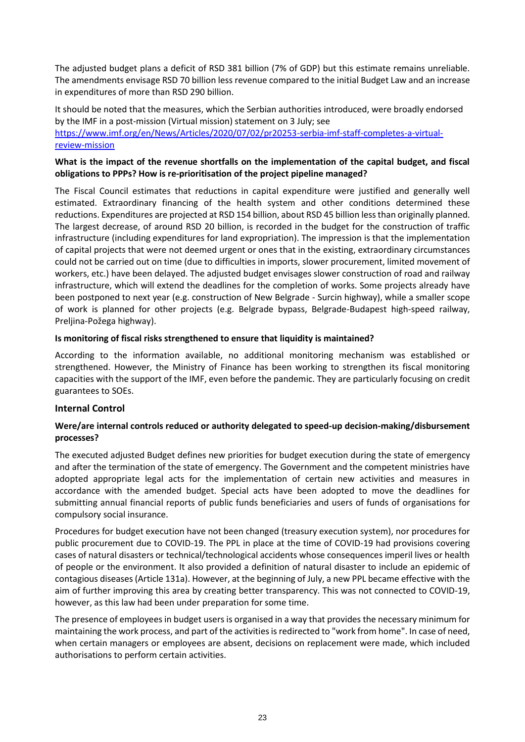The adjusted budget plans a deficit of RSD 381 billion (7% of GDP) but this estimate remains unreliable. The amendments envisage RSD 70 billion less revenue compared to the initial Budget Law and an increase in expenditures of more than RSD 290 billion.

# It should be noted that the measures, which the Serbian authorities introduced, were broadly endorsed by the IMF in a post-mission (Virtual mission) statement on 3 July; see [https://www.imf.org/en/News/Articles/2020/07/02/pr20253-serbia-imf-staff-completes-a-virtual](https://www.imf.org/en/News/Articles/2020/07/02/pr20253-serbia-imf-staff-completes-a-virtual-review-mission)[review-mission](https://www.imf.org/en/News/Articles/2020/07/02/pr20253-serbia-imf-staff-completes-a-virtual-review-mission)

# **What is the impact of the revenue shortfalls on the implementation of the capital budget, and fiscal obligations to PPPs? How is re-prioritisation of the project pipeline managed?**

The Fiscal Council estimates that reductions in capital expenditure were justified and generally well estimated. Extraordinary financing of the health system and other conditions determined these reductions. Expenditures are projected at RSD 154 billion, about RSD 45 billion less than originally planned. The largest decrease, of around RSD 20 billion, is recorded in the budget for the construction of traffic infrastructure (including expenditures for land expropriation). The impression is that the implementation of capital projects that were not deemed urgent or ones that in the existing, extraordinary circumstances could not be carried out on time (due to difficulties in imports, slower procurement, limited movement of workers, etc.) have been delayed. The adjusted budget envisages slower construction of road and railway infrastructure, which will extend the deadlines for the completion of works. Some projects already have been postponed to next year (e.g. construction of New Belgrade - Surcin highway), while a smaller scope of work is planned for other projects (e.g. Belgrade bypass, Belgrade-Budapest high-speed railway, Preljina-Požega highway).

# **Is monitoring of fiscal risks strengthened to ensure that liquidity is maintained?**

According to the information available, no additional monitoring mechanism was established or strengthened. However, the Ministry of Finance has been working to strengthen its fiscal monitoring capacities with the support of the IMF, even before the pandemic. They are particularly focusing on credit guarantees to SOEs.

# **Internal Control**

# **Were/are internal controls reduced or authority delegated to speed-up decision-making/disbursement processes?**

The executed adjusted Budget defines new priorities for budget execution during the state of emergency and after the termination of the state of emergency. The Government and the competent ministries have adopted appropriate legal acts for the implementation of certain new activities and measures in accordance with the amended budget. Special acts have been adopted to move the deadlines for submitting annual financial reports of public funds beneficiaries and users of funds of organisations for compulsory social insurance.

Procedures for budget execution have not been changed (treasury execution system), nor procedures for public procurement due to COVID-19. The PPL in place at the time of COVID-19 had provisions covering cases of natural disasters or technical/technological accidents whose consequences imperil lives or health of people or the environment. It also provided a definition of natural disaster to include an epidemic of contagious diseases (Article 131a). However, at the beginning of July, a new PPL became effective with the aim of further improving this area by creating better transparency. This was not connected to COVID-19, however, as this law had been under preparation for some time.

The presence of employees in budget users is organised in a way that provides the necessary minimum for maintaining the work process, and part of the activities is redirected to "work from home". In case of need, when certain managers or employees are absent, decisions on replacement were made, which included authorisations to perform certain activities.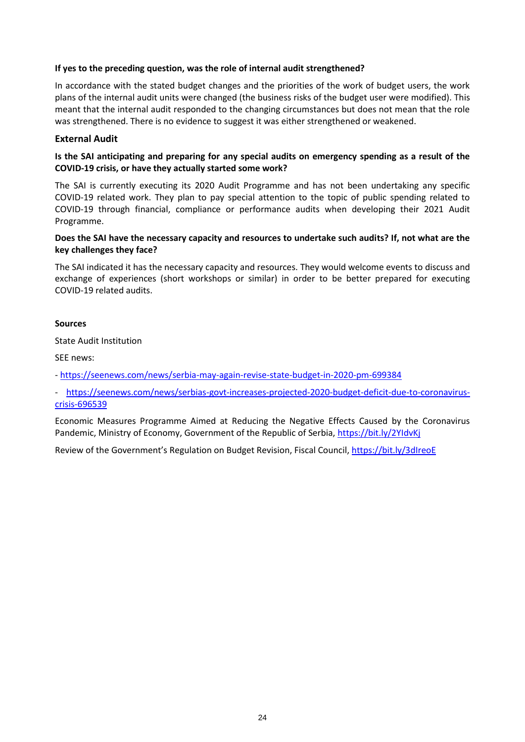# **If yes to the preceding question, was the role of internal audit strengthened?**

In accordance with the stated budget changes and the priorities of the work of budget users, the work plans of the internal audit units were changed (the business risks of the budget user were modified). This meant that the internal audit responded to the changing circumstances but does not mean that the role was strengthened. There is no evidence to suggest it was either strengthened or weakened.

### **External Audit**

# **Is the SAI anticipating and preparing for any special audits on emergency spending as a result of the COVID-19 crisis, or have they actually started some work?**

The SAI is currently executing its 2020 Audit Programme and has not been undertaking any specific COVID-19 related work. They plan to pay special attention to the topic of public spending related to COVID-19 through financial, compliance or performance audits when developing their 2021 Audit Programme.

# **Does the SAI have the necessary capacity and resources to undertake such audits? If, not what are the key challenges they face?**

The SAI indicated it has the necessary capacity and resources. They would welcome events to discuss and exchange of experiences (short workshops or similar) in order to be better prepared for executing COVID-19 related audits.

#### **Sources**

State Audit Institution

SEE news:

- <https://seenews.com/news/serbia-may-again-revise-state-budget-in-2020-pm-699384>

- [https://seenews.com/news/serbias-govt-increases-projected-2020-budget-deficit-due-to-coronavirus](https://seenews.com/news/serbias-govt-increases-projected-2020-budget-deficit-due-to-coronavirus-crisis-696539)[crisis-696539](https://seenews.com/news/serbias-govt-increases-projected-2020-budget-deficit-due-to-coronavirus-crisis-696539)

Economic Measures Programme Aimed at Reducing the Negative Effects Caused by the Coronavirus Pandemic, Ministry of Economy, Government of the Republic of Serbia,<https://bit.ly/2YIdvKj>

Review of the Government's Regulation on Budget Revision, Fiscal Council[, https://bit.ly/3dIreoE](https://bit.ly/3dIreoE)